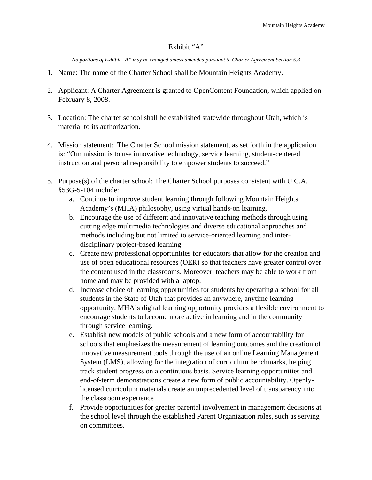## Exhibit "A"

*No portions of Exhibit "A" may be changed unless amended pursuant to Charter Agreement Section 5.3*

- 1. Name: The name of the Charter School shall be Mountain Heights Academy.
- 2. Applicant: A Charter Agreement is granted to OpenContent Foundation, which applied on February 8, 2008.
- 3. Location: The charter school shall be established statewide throughout Utah**,** which is material to its authorization.
- 4. Mission statement: The Charter School mission statement, as set forth in the application is: "Our mission is to use innovative technology, service learning, student-centered instruction and personal responsibility to empower students to succeed."
- 5. Purpose(s) of the charter school: The Charter School purposes consistent with U.C.A. §53G-5-104 include:
	- a. Continue to improve student learning through following Mountain Heights Academy's (MHA) philosophy, using virtual hands-on learning.
	- b. Encourage the use of different and innovative teaching methods through using cutting edge multimedia technologies and diverse educational approaches and methods including but not limited to service-oriented learning and interdisciplinary project-based learning.
	- c. Create new professional opportunities for educators that allow for the creation and use of open educational resources (OER) so that teachers have greater control over the content used in the classrooms. Moreover, teachers may be able to work from home and may be provided with a laptop.
	- d. Increase choice of learning opportunities for students by operating a school for all students in the State of Utah that provides an anywhere, anytime learning opportunity. MHA's digital learning opportunity provides a flexible environment to encourage students to become more active in learning and in the community through service learning.
	- e. Establish new models of public schools and a new form of accountability for schools that emphasizes the measurement of learning outcomes and the creation of innovative measurement tools through the use of an online Learning Management System (LMS), allowing for the integration of curriculum benchmarks, helping track student progress on a continuous basis. Service learning opportunities and end-of-term demonstrations create a new form of public accountability. Openlylicensed curriculum materials create an unprecedented level of transparency into the classroom experience
	- f. Provide opportunities for greater parental involvement in management decisions at the school level through the established Parent Organization roles, such as serving on committees.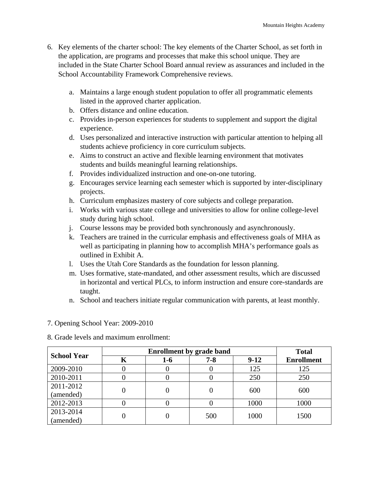- 6. Key elements of the charter school: The key elements of the Charter School, as set forth in the application, are programs and processes that make this school unique. They are included in the State Charter School Board annual review as assurances and included in the School Accountability Framework Comprehensive reviews.
	- a. Maintains a large enough student population to offer all programmatic elements listed in the approved charter application.
	- b. Offers distance and online education.
	- c. Provides in-person experiences for students to supplement and support the digital experience.
	- d. Uses personalized and interactive instruction with particular attention to helping all students achieve proficiency in core curriculum subjects.
	- e. Aims to construct an active and flexible learning environment that motivates students and builds meaningful learning relationships.
	- f. Provides individualized instruction and one-on-one tutoring.
	- g. Encourages service learning each semester which is supported by inter-disciplinary projects.
	- h. Curriculum emphasizes mastery of core subjects and college preparation.
	- i. Works with various state college and universities to allow for online college-level study during high school.
	- j. Course lessons may be provided both synchronously and asynchronously.
	- k. Teachers are trained in the curricular emphasis and effectiveness goals of MHA as well as participating in planning how to accomplish MHA's performance goals as outlined in Exhibit A.
	- l. Uses the Utah Core Standards as the foundation for lesson planning.
	- m. Uses formative, state-mandated, and other assessment results, which are discussed in horizontal and vertical PLCs, to inform instruction and ensure core-standards are taught.
	- n. School and teachers initiate regular communication with parents, at least monthly.
- 7. Opening School Year: 2009-2010

8. Grade levels and maximum enrollment:

| <b>School Year</b> |   | <b>Total</b> |         |        |                   |
|--------------------|---|--------------|---------|--------|-------------------|
|                    | Κ | $1-6$        | $7 - 8$ | $9-12$ | <b>Enrollment</b> |
| 2009-2010          |   |              |         | 125    | 125               |
| 2010-2011          |   |              |         | 250    | 250               |
| 2011-2012          |   |              |         | 600    | 600               |
| (amended)          |   |              |         |        |                   |
| 2012-2013          |   |              |         | 1000   | 1000              |
| 2013-2014          |   |              | 500     | 1000   | 1500              |
| (amended)          |   |              |         |        |                   |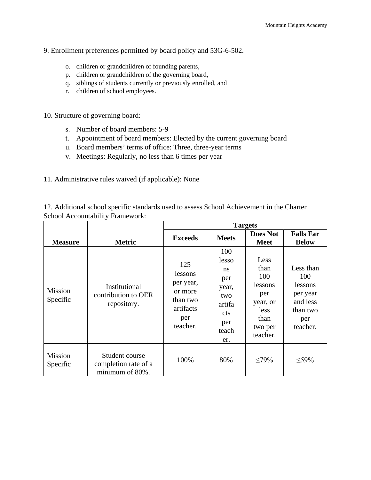## 9. Enrollment preferences permitted by board policy and 53G-6-502.

- o. children or grandchildren of founding parents,
- p. children or grandchildren of the governing board,
- q. siblings of students currently or previously enrolled, and
- r. children of school employees.

10. Structure of governing board:

- s. Number of board members: 5-9
- t. Appointment of board members: Elected by the current governing board
- u. Board members' terms of office: Three, three-year terms
- v. Meetings: Regularly, no less than 6 times per year

11. Administrative rules waived (if applicable): None

| 12. Additional school specific standards used to assess School Achievement in the Charter |  |  |  |
|-------------------------------------------------------------------------------------------|--|--|--|
| <b>School Accountability Framework:</b>                                                   |  |  |  |

|                            |                                                           | <b>Targets</b>                                                                     |                                                                                                          |                                                                                                 |                                                                                    |  |
|----------------------------|-----------------------------------------------------------|------------------------------------------------------------------------------------|----------------------------------------------------------------------------------------------------------|-------------------------------------------------------------------------------------------------|------------------------------------------------------------------------------------|--|
| <b>Measure</b>             | <b>Metric</b>                                             | <b>Exceeds</b>                                                                     | <b>Meets</b>                                                                                             | <b>Does Not</b><br><b>Meet</b>                                                                  | <b>Falls Far</b><br><b>Below</b>                                                   |  |
| <b>Mission</b><br>Specific | Institutional<br>contribution to OER<br>repository.       | 125<br>lessons<br>per year,<br>or more<br>than two<br>artifacts<br>per<br>teacher. | 100<br>lesso<br><sub>ns</sub><br>per<br>year,<br>two<br>artifa<br><sub>c</sub> ts<br>per<br>teach<br>er. | Less<br>than<br>100<br>lessons<br>per<br>year, or<br><i>less</i><br>than<br>two per<br>teacher. | Less than<br>100<br>lessons<br>per year<br>and less<br>than two<br>per<br>teacher. |  |
| Mission<br>Specific        | Student course<br>completion rate of a<br>minimum of 80%. | 100%                                                                               | 80%                                                                                                      | <79%                                                                                            | $<$ 59%                                                                            |  |